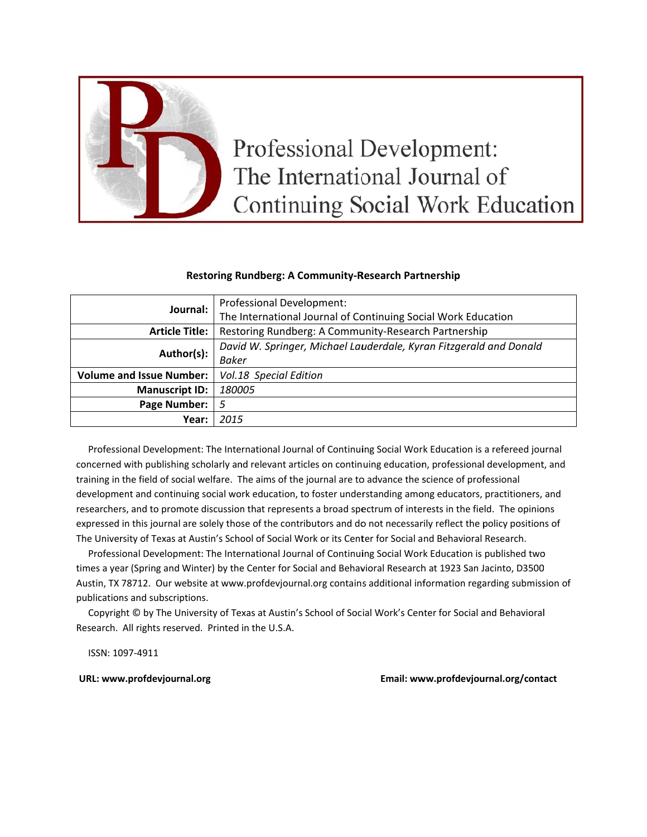

# **Professional Development:** The International Journal of **Continuing Social Work Education**

# **Restoring Rundberg: A Community-Research Partnership**

| Journal:                        | Professional Development:                                          |
|---------------------------------|--------------------------------------------------------------------|
|                                 | The International Journal of Continuing Social Work Education      |
| <b>Article Title:</b>           | Restoring Rundberg: A Community-Research Partnership               |
| Author(s):                      | David W. Springer, Michael Lauderdale, Kyran Fitzgerald and Donald |
|                                 | <b>Baker</b>                                                       |
| <b>Volume and Issue Number:</b> | Vol.18 Special Edition                                             |
| <b>Manuscript ID:</b>           | 180005                                                             |
| <b>Page Number:</b>             | 5                                                                  |
| Year:                           | 2015                                                               |

Professional Development: The International Journal of Continuing Social Work Education is a refereed journal concerned with publishing scholarly and relevant articles on continuing education, professional development, and training in the field of social welfare. The aims of the journal are to advance the science of professional development and continuing social work education, to foster understanding among educators, practitioners, and researchers, and to promote discussion that represents a broad spectrum of interests in the field. The opinions expressed in this journal are solely those of the contributors and do not necessarily reflect the policy positions of The University of Texas at Austin's School of Social Work or its Center for Social and Behavioral Research.

Professional Development: The International Journal of Continuing Social Work Education is published two times a year (Spring and Winter) by the Center for Social and Behavioral Research at 1923 San Jacinto, D3500 Austin, TX 78712. Our website at www.profdevjournal.org contains additional information regarding submission of publications and subscriptions.

Copyright © by The University of Texas at Austin's School of Social Work's Center for Social and Behavioral Research. All rights reserved. Printed in the U.S.A.

ISSN: 1097-4911

URL: www.profdevjournal.org

Email: www.profdevjournal.org/contact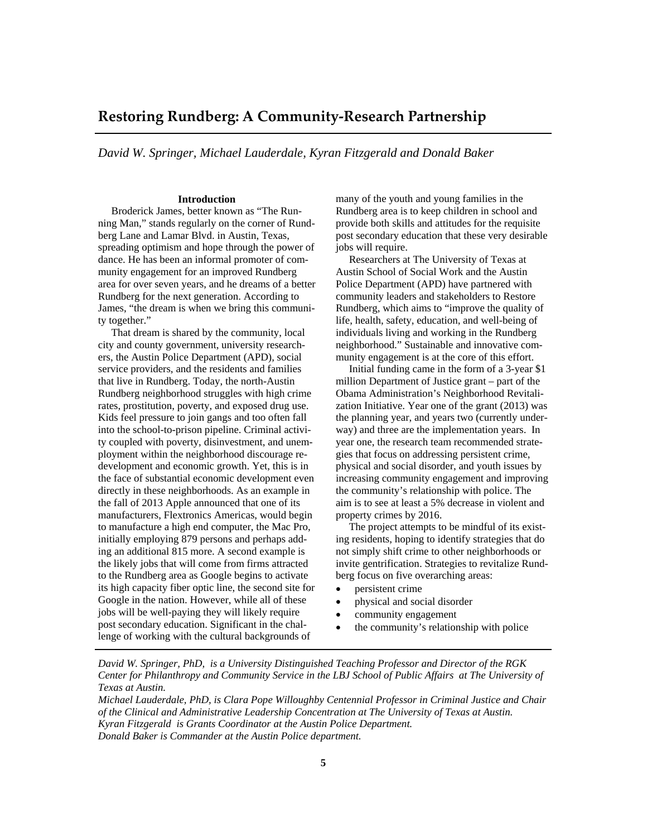# **Restoring Rundberg: A Community‐Research Partnership**

*David W. Springer, Michael Lauderdale, Kyran Fitzgerald and Donald Baker*

#### **Introduction**

 Broderick James, better known as "The Running Man," stands regularly on the corner of Rundberg Lane and Lamar Blvd. in Austin, Texas, spreading optimism and hope through the power of dance. He has been an informal promoter of community engagement for an improved Rundberg area for over seven years, and he dreams of a better Rundberg for the next generation. According to James, "the dream is when we bring this community together."

 That dream is shared by the community, local city and county government, university researchers, the Austin Police Department (APD), social service providers, and the residents and families that live in Rundberg. Today, the north-Austin Rundberg neighborhood struggles with high crime rates, prostitution, poverty, and exposed drug use. Kids feel pressure to join gangs and too often fall into the school-to-prison pipeline. Criminal activity coupled with poverty, disinvestment, and unemployment within the neighborhood discourage redevelopment and economic growth. Yet, this is in the face of substantial economic development even directly in these neighborhoods. As an example in the fall of 2013 Apple announced that one of its manufacturers, Flextronics Americas, would begin to manufacture a high end computer, the Mac Pro, initially employing 879 persons and perhaps adding an additional 815 more. A second example is the likely jobs that will come from firms attracted to the Rundberg area as Google begins to activate its high capacity fiber optic line, the second site for Google in the nation. However, while all of these jobs will be well-paying they will likely require post secondary education. Significant in the challenge of working with the cultural backgrounds of

many of the youth and young families in the Rundberg area is to keep children in school and provide both skills and attitudes for the requisite post secondary education that these very desirable jobs will require.

 Researchers at The University of Texas at Austin School of Social Work and the Austin Police Department (APD) have partnered with community leaders and stakeholders to Restore Rundberg, which aims to "improve the quality of life, health, safety, education, and well-being of individuals living and working in the Rundberg neighborhood." Sustainable and innovative community engagement is at the core of this effort.

 Initial funding came in the form of a 3-year \$1 million Department of Justice grant – part of the Obama Administration's Neighborhood Revitalization Initiative. Year one of the grant (2013) was the planning year, and years two (currently underway) and three are the implementation years. In year one, the research team recommended strategies that focus on addressing persistent crime, physical and social disorder, and youth issues by increasing community engagement and improving the community's relationship with police. The aim is to see at least a 5% decrease in violent and property crimes by 2016.

 The project attempts to be mindful of its existing residents, hoping to identify strategies that do not simply shift crime to other neighborhoods or invite gentrification. Strategies to revitalize Rundberg focus on five overarching areas:

- persistent crime
- physical and social disorder
- community engagement
- the community's relationship with police

*David W. Springer, PhD, is a University Distinguished Teaching Professor and Director of the RGK Center for Philanthropy and Community Service in the LBJ School of Public Affairs at The University of Texas at Austin.* 

*Michael Lauderdale, PhD, is Clara Pope Willoughby Centennial Professor in Criminal Justice and Chair of the Clinical and Administrative Leadership Concentration at The University of Texas at Austin. Kyran Fitzgerald is Grants Coordinator at the Austin Police Department. Donald Baker is Commander at the Austin Police department.*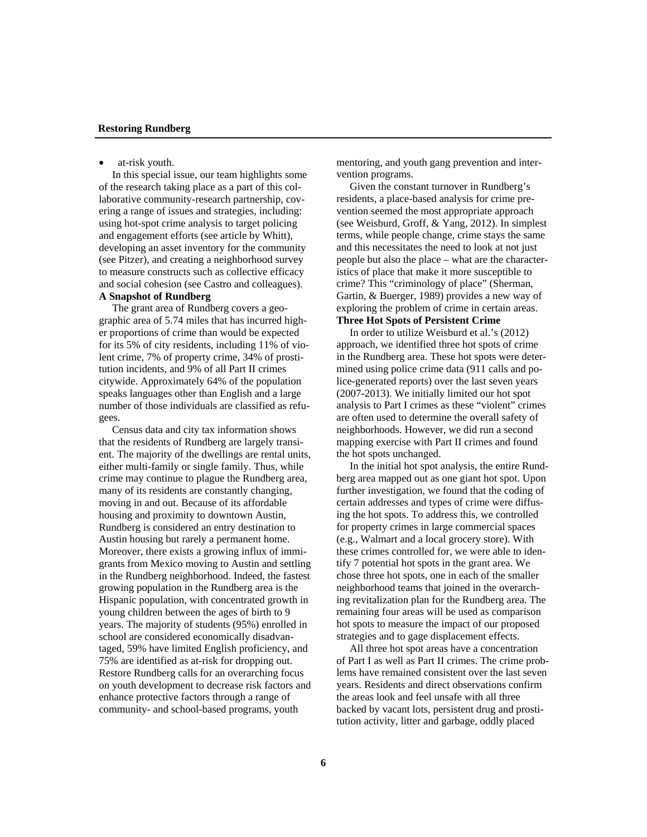#### **Restoring Rundberg**

at-risk youth.

 In this special issue, our team highlights some of the research taking place as a part of this collaborative community-research partnership, covering a range of issues and strategies, including: using hot-spot crime analysis to target policing and engagement efforts (see article by Whitt), developing an asset inventory for the community (see Pitzer), and creating a neighborhood survey to measure constructs such as collective efficacy and social cohesion (see Castro and colleagues).

# **A Snapshot of Rundberg**

 The grant area of Rundberg covers a geographic area of 5.74 miles that has incurred higher proportions of crime than would be expected for its 5% of city residents, including 11% of violent crime, 7% of property crime, 34% of prostitution incidents, and 9% of all Part II crimes citywide. Approximately 64% of the population speaks languages other than English and a large number of those individuals are classified as refugees.

 Census data and city tax information shows that the residents of Rundberg are largely transient. The majority of the dwellings are rental units, either multi-family or single family. Thus, while crime may continue to plague the Rundberg area, many of its residents are constantly changing, moving in and out. Because of its affordable housing and proximity to downtown Austin, Rundberg is considered an entry destination to Austin housing but rarely a permanent home. Moreover, there exists a growing influx of immigrants from Mexico moving to Austin and settling in the Rundberg neighborhood. Indeed, the fastest growing population in the Rundberg area is the Hispanic population, with concentrated growth in young children between the ages of birth to 9 years. The majority of students (95%) enrolled in school are considered economically disadvantaged, 59% have limited English proficiency, and 75% are identified as at-risk for dropping out. Restore Rundberg calls for an overarching focus on youth development to decrease risk factors and enhance protective factors through a range of community- and school-based programs, youth

mentoring, and youth gang prevention and intervention programs.

 Given the constant turnover in Rundberg's residents, a place-based analysis for crime prevention seemed the most appropriate approach (see Weisburd, Groff, & Yang, 2012). In simplest terms, while people change, crime stays the same and this necessitates the need to look at not just people but also the place – what are the characteristics of place that make it more susceptible to crime? This "criminology of place" (Sherman, Gartin, & Buerger, 1989) provides a new way of exploring the problem of crime in certain areas.

# **Three Hot Spots of Persistent Crime**

 In order to utilize Weisburd et al.'s (2012) approach, we identified three hot spots of crime in the Rundberg area. These hot spots were determined using police crime data (911 calls and police-generated reports) over the last seven years (2007-2013). We initially limited our hot spot analysis to Part I crimes as these "violent" crimes are often used to determine the overall safety of neighborhoods. However, we did run a second mapping exercise with Part II crimes and found the hot spots unchanged.

 In the initial hot spot analysis, the entire Rundberg area mapped out as one giant hot spot. Upon further investigation, we found that the coding of certain addresses and types of crime were diffusing the hot spots. To address this, we controlled for property crimes in large commercial spaces (e.g., Walmart and a local grocery store). With these crimes controlled for, we were able to identify 7 potential hot spots in the grant area. We chose three hot spots, one in each of the smaller neighborhood teams that joined in the overarching revitalization plan for the Rundberg area. The remaining four areas will be used as comparison hot spots to measure the impact of our proposed strategies and to gage displacement effects.

 All three hot spot areas have a concentration of Part I as well as Part II crimes. The crime problems have remained consistent over the last seven years. Residents and direct observations confirm the areas look and feel unsafe with all three backed by vacant lots, persistent drug and prostitution activity, litter and garbage, oddly placed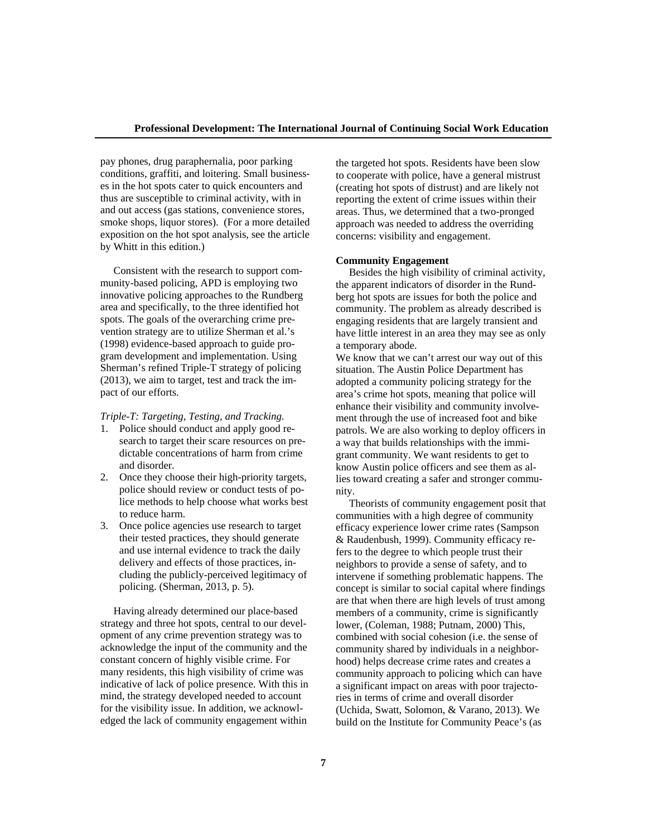pay phones, drug paraphernalia, poor parking conditions, graffiti, and loitering. Small businesses in the hot spots cater to quick encounters and thus are susceptible to criminal activity, with in and out access (gas stations, convenience stores, smoke shops, liquor stores). (For a more detailed exposition on the hot spot analysis, see the article by Whitt in this edition.)

 Consistent with the research to support community-based policing, APD is employing two innovative policing approaches to the Rundberg area and specifically, to the three identified hot spots. The goals of the overarching crime prevention strategy are to utilize Sherman et al.'s (1998) evidence-based approach to guide program development and implementation. Using Sherman's refined Triple-T strategy of policing (2013), we aim to target, test and track the impact of our efforts.

*Triple-T: Targeting, Testing, and Tracking.*

- 1. Police should conduct and apply good research to target their scare resources on predictable concentrations of harm from crime and disorder.
- 2. Once they choose their high-priority targets, police should review or conduct tests of police methods to help choose what works best to reduce harm.
- 3. Once police agencies use research to target their tested practices, they should generate and use internal evidence to track the daily delivery and effects of those practices, including the publicly-perceived legitimacy of policing. (Sherman, 2013, p. 5).

 Having already determined our place-based strategy and three hot spots, central to our development of any crime prevention strategy was to acknowledge the input of the community and the constant concern of highly visible crime. For many residents, this high visibility of crime was indicative of lack of police presence. With this in mind, the strategy developed needed to account for the visibility issue. In addition, we acknowledged the lack of community engagement within

the targeted hot spots. Residents have been slow to cooperate with police, have a general mistrust (creating hot spots of distrust) and are likely not reporting the extent of crime issues within their areas. Thus, we determined that a two-pronged approach was needed to address the overriding concerns: visibility and engagement.

### **Community Engagement**

 Besides the high visibility of criminal activity, the apparent indicators of disorder in the Rundberg hot spots are issues for both the police and community. The problem as already described is engaging residents that are largely transient and have little interest in an area they may see as only a temporary abode.

We know that we can't arrest our way out of this situation. The Austin Police Department has adopted a community policing strategy for the area's crime hot spots, meaning that police will enhance their visibility and community involvement through the use of increased foot and bike patrols. We are also working to deploy officers in a way that builds relationships with the immigrant community. We want residents to get to know Austin police officers and see them as allies toward creating a safer and stronger community.

 Theorists of community engagement posit that communities with a high degree of community efficacy experience lower crime rates (Sampson & Raudenbush, 1999). Community efficacy refers to the degree to which people trust their neighbors to provide a sense of safety, and to intervene if something problematic happens. The concept is similar to social capital where findings are that when there are high levels of trust among members of a community, crime is significantly lower, (Coleman, 1988; Putnam, 2000) This, combined with social cohesion (i.e. the sense of community shared by individuals in a neighborhood) helps decrease crime rates and creates a community approach to policing which can have a significant impact on areas with poor trajectories in terms of crime and overall disorder (Uchida, Swatt, Solomon, & Varano, 2013). We build on the Institute for Community Peace's (as